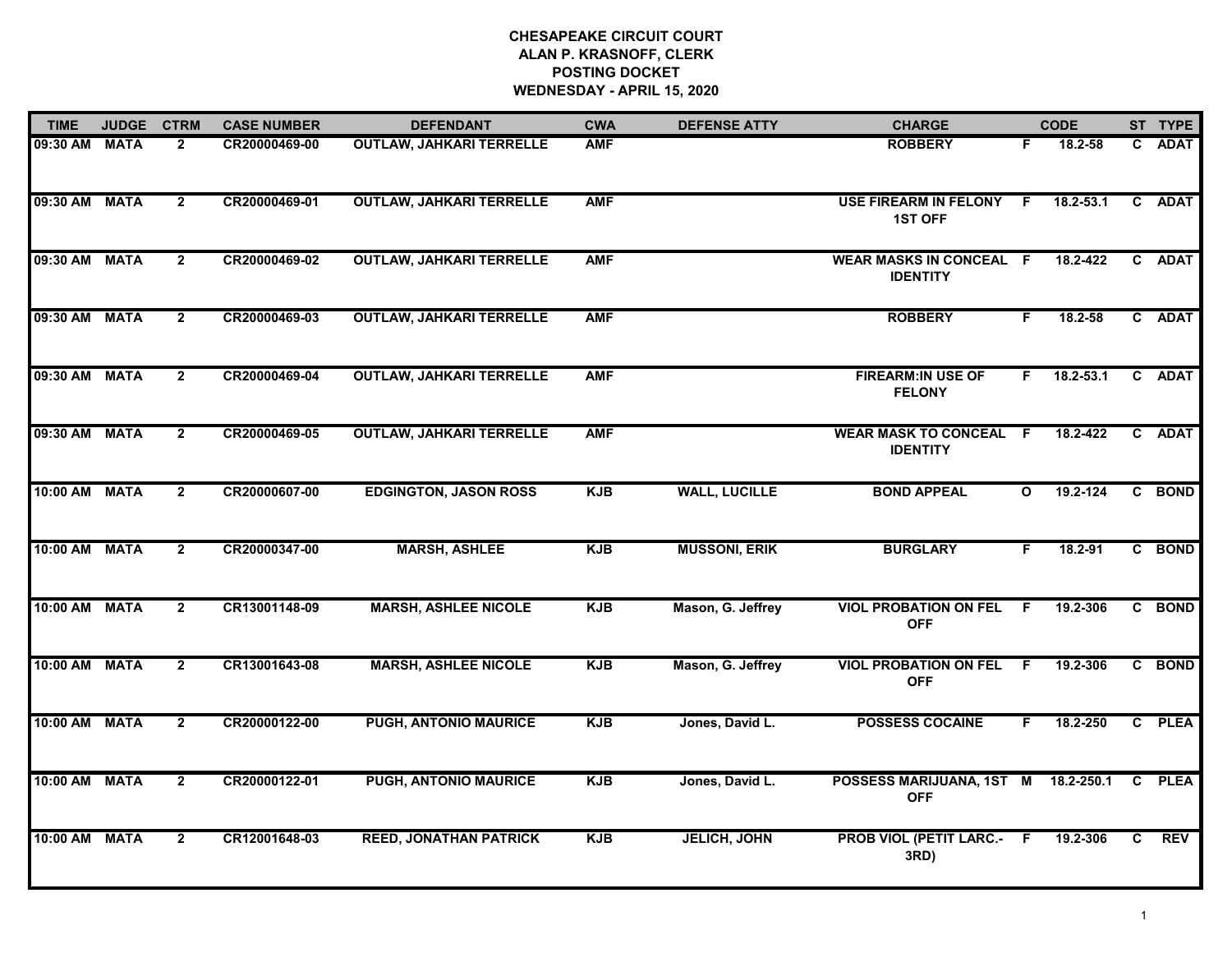## **CHESAPEAKE CIRCUIT COURT ALAN P. KRASNOFF, CLERK POSTING DOCKETWEDNESDAY - APRIL 15, 2020**

| <b>TIME</b>   | <b>JUDGE</b> | <b>CTRM</b>    | <b>CASE NUMBER</b> | <b>DEFENDANT</b>                | <b>CWA</b> | <b>DEFENSE ATTY</b>  | <b>CHARGE</b>                                     |              | <b>CODE</b>   | ST TYPE |             |
|---------------|--------------|----------------|--------------------|---------------------------------|------------|----------------------|---------------------------------------------------|--------------|---------------|---------|-------------|
| 09:30 AM      | <b>MATA</b>  | $\mathbf{2}$   | CR20000469-00      | <b>OUTLAW, JAHKARI TERRELLE</b> | <b>AMF</b> |                      | <b>ROBBERY</b>                                    | F.           | 18.2-58       | C.      | <b>ADAT</b> |
| 09:30 AM MATA |              | $\overline{2}$ | CR20000469-01      | <b>OUTLAW, JAHKARI TERRELLE</b> | <b>AMF</b> |                      | USE FIREARM IN FELONY F<br><b>1ST OFF</b>         |              | $18.2 - 53.1$ |         | C ADAT      |
| 09:30 AM MATA |              | $\overline{2}$ | CR20000469-02      | <b>OUTLAW, JAHKARI TERRELLE</b> | <b>AMF</b> |                      | <b>WEAR MASKS IN CONCEAL F</b><br><b>IDENTITY</b> |              | 18.2-422      |         | C ADAT      |
| 09:30 AM      | <b>MATA</b>  | $\overline{2}$ | CR20000469-03      | <b>OUTLAW, JAHKARI TERRELLE</b> | <b>AMF</b> |                      | <b>ROBBERY</b>                                    | F.           | 18.2-58       |         | C ADAT      |
| 09:30 AM      | <b>MATA</b>  | $\overline{2}$ | CR20000469-04      | <b>OUTLAW, JAHKARI TERRELLE</b> | <b>AMF</b> |                      | <b>FIREARM:IN USE OF</b><br><b>FELONY</b>         | F.           | $18.2 - 53.1$ |         | C ADAT      |
| 09:30 AM MATA |              | $\overline{2}$ | CR20000469-05      | <b>OUTLAW, JAHKARI TERRELLE</b> | <b>AMF</b> |                      | <b>WEAR MASK TO CONCEAL F</b><br><b>IDENTITY</b>  |              | 18.2-422      |         | C ADAT      |
| 10:00 AM MATA |              | $2^{\circ}$    | CR20000607-00      | <b>EDGINGTON, JASON ROSS</b>    | <b>KJB</b> | <b>WALL, LUCILLE</b> | <b>BOND APPEAL</b>                                | $\mathbf{o}$ | $19.2 - 124$  |         | C BOND      |
| 10:00 AM MATA |              | $\mathbf{2}$   | CR20000347-00      | <b>MARSH, ASHLEE</b>            | <b>KJB</b> | <b>MUSSONI, ERIK</b> | <b>BURGLARY</b>                                   | F            | 18.2-91       |         | C BOND      |
| 10:00 AM      | <b>MATA</b>  | $\overline{2}$ | CR13001148-09      | <b>MARSH, ASHLEE NICOLE</b>     | <b>KJB</b> | Mason, G. Jeffrey    | <b>VIOL PROBATION ON FEL</b><br><b>OFF</b>        | -F           | 19.2-306      |         | C BOND      |
| 10:00 AM MATA |              | $\overline{2}$ | CR13001643-08      | <b>MARSH, ASHLEE NICOLE</b>     | <b>KJB</b> | Mason, G. Jeffrey    | <b>VIOL PROBATION ON FEL</b><br><b>OFF</b>        | - F          | 19.2-306      |         | C BOND      |
| 10:00 AM      | <b>MATA</b>  | $\mathbf{2}$   | CR20000122-00      | PUGH, ANTONIO MAURICE           | <b>KJB</b> | Jones, David L.      | <b>POSSESS COCAINE</b>                            | F.           | 18.2-250      | C       | <b>PLEA</b> |
| 10:00 AM      | <b>MATA</b>  | $2^{\circ}$    | CR20000122-01      | <b>PUGH, ANTONIO MAURICE</b>    | <b>KJB</b> | Jones, David L.      | POSSESS MARIJUANA, 1ST M<br><b>OFF</b>            |              | 18.2-250.1    | C       | <b>PLEA</b> |
| 10:00 AM MATA |              | $\mathbf{2}$   | CR12001648-03      | <b>REED, JONATHAN PATRICK</b>   | <b>KJB</b> | <b>JELICH, JOHN</b>  | <b>PROB VIOL (PETIT LARC.- F</b><br>3RD)          |              | 19.2-306      | C.      | <b>REV</b>  |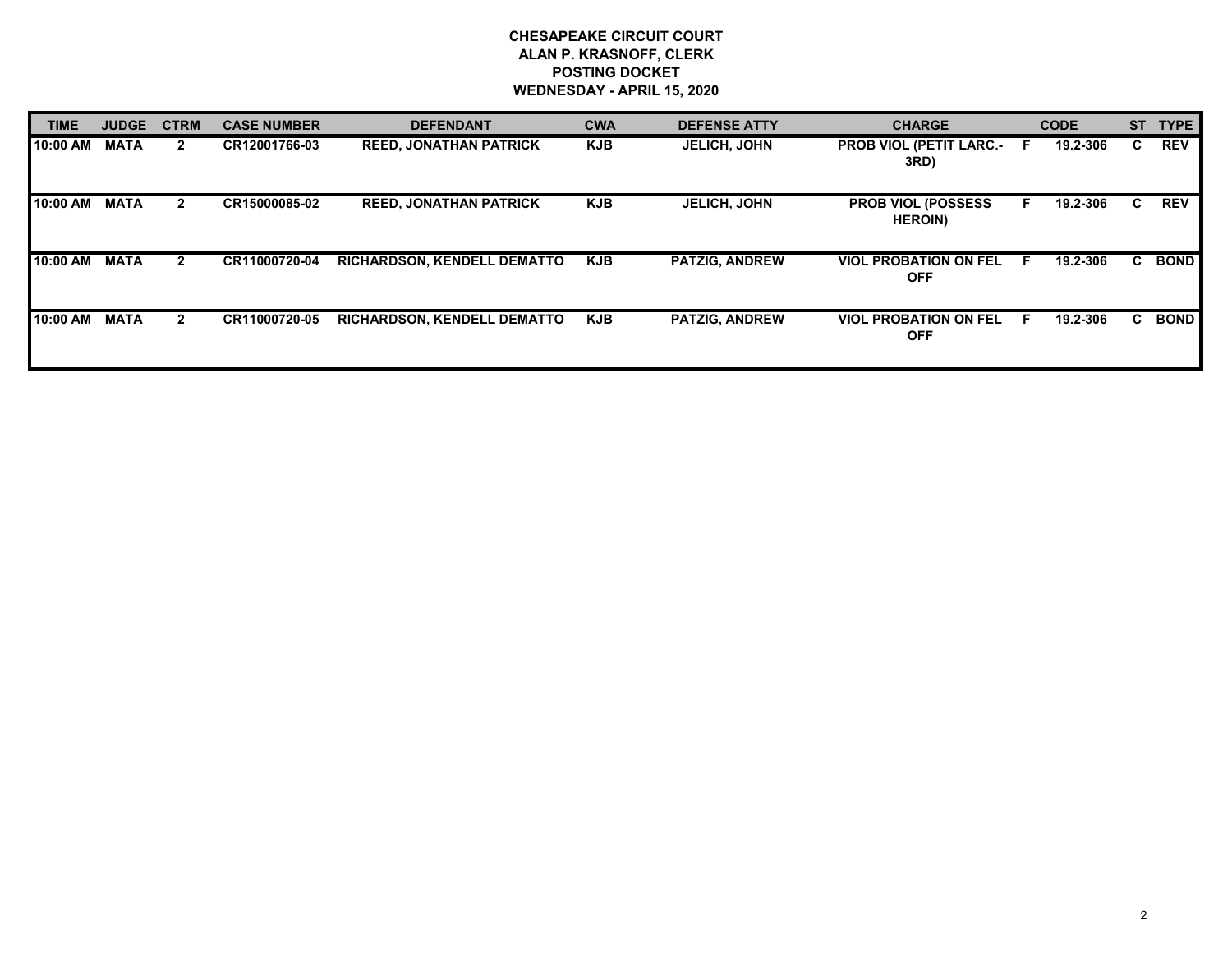## **CHESAPEAKE CIRCUIT COURT ALAN P. KRASNOFF, CLERK POSTING DOCKET WEDNESDAY - APRIL 15, 2020**

| <b>TIME</b> | <b>JUDGE</b> | <b>CTRM</b>    | <b>CASE NUMBER</b> | <b>DEFENDANT</b>                   | <b>CWA</b> | <b>DEFENSE ATTY</b>   | <b>CHARGE</b>                                | <b>CODE</b> |          | <b>ST</b> | <b>TYPE</b> |
|-------------|--------------|----------------|--------------------|------------------------------------|------------|-----------------------|----------------------------------------------|-------------|----------|-----------|-------------|
| 10:00 AM    | <b>MATA</b>  | $\mathbf{2}$   | CR12001766-03      | <b>REED, JONATHAN PATRICK</b>      | <b>KJB</b> | <b>JELICH, JOHN</b>   | <b>PROB VIOL (PETIT LARC.-</b><br>3RD)       | -F          | 19.2-306 | C.        | <b>REV</b>  |
| 10:00 AM    | <b>MATA</b>  | $\overline{2}$ | CR15000085-02      | <b>REED, JONATHAN PATRICK</b>      | <b>KJB</b> | <b>JELICH, JOHN</b>   | <b>PROB VIOL (POSSESS)</b><br><b>HEROIN)</b> |             | 19.2-306 | C.        | <b>REV</b>  |
| 10:00 AM    | <b>MATA</b>  | $\mathbf{2}$   | CR11000720-04      | <b>RICHARDSON, KENDELL DEMATTO</b> | <b>KJB</b> | <b>PATZIG, ANDREW</b> | <b>VIOL PROBATION ON FEL</b><br><b>OFF</b>   | E           | 19.2-306 | C.        | <b>BOND</b> |
| 10:00 AM    | <b>MATA</b>  | $\mathbf{2}$   | CR11000720-05      | <b>RICHARDSON, KENDELL DEMATTO</b> | <b>KJB</b> | <b>PATZIG, ANDREW</b> | <b>VIOL PROBATION ON FEL</b><br><b>OFF</b>   | E           | 19.2-306 | C.        | <b>BOND</b> |